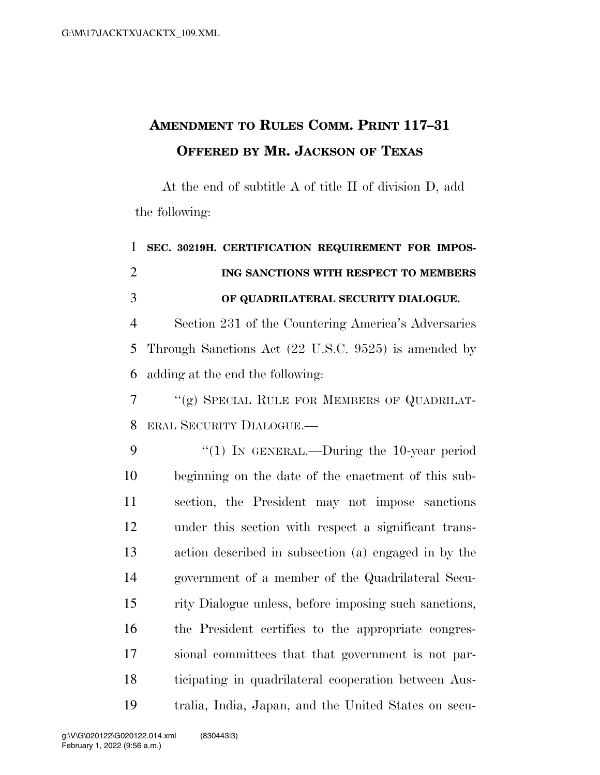## **AMENDMENT TO RULES COMM. PRINT 117–31 OFFERED BY MR. JACKSON OF TEXAS**

At the end of subtitle A of title II of division D, add the following:

 **SEC. 30219H. CERTIFICATION REQUIREMENT FOR IMPOS- ING SANCTIONS WITH RESPECT TO MEMBERS OF QUADRILATERAL SECURITY DIALOGUE.**  Section 231 of the Countering America's Adversaries Through Sanctions Act (22 U.S.C. 9525) is amended by adding at the end the following: ''(g) SPECIAL RULE FOR MEMBERS OF QUADRILAT- ERAL SECURITY DIALOGUE.— 9 "(1) In GENERAL.—During the 10-year period beginning on the date of the enactment of this sub- section, the President may not impose sanctions under this section with respect a significant trans- action described in subsection (a) engaged in by the government of a member of the Quadrilateral Secu-

 the President certifies to the appropriate congres- sional committees that that government is not par- ticipating in quadrilateral cooperation between Aus-tralia, India, Japan, and the United States on secu-

rity Dialogue unless, before imposing such sanctions,